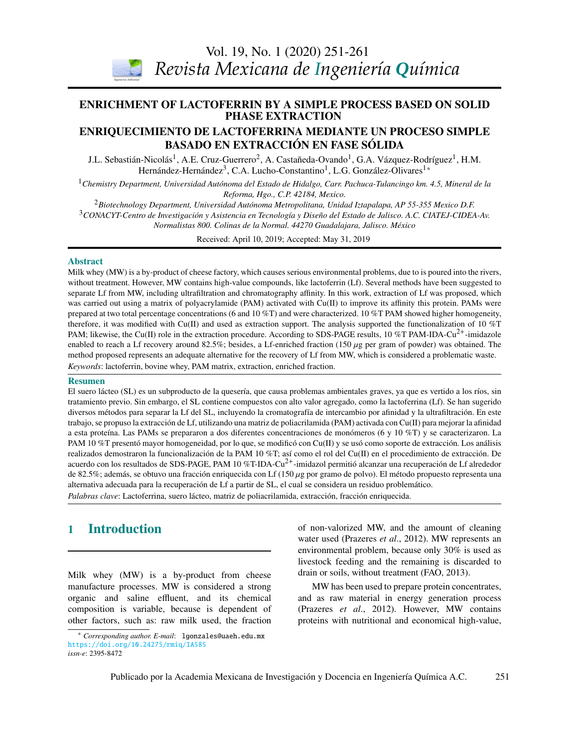Vol. 19, No. 1 (2020) [251](#page-0-0)[-261](#page-7-0)



*Revista Mexicana de Ingeniería Química*

# <span id="page-0-0"></span>**ENRICHMENT OF LACTOFERRIN BY A SIMPLE PROCESS BASED ON SOLID PHASE EXTRACTION**

## ENRIQUECIMIENTO DE LACTOFERRINA MEDIANTE UN PROCESO SIMPLE BASADO EN EXTRACCIÓN EN FASE SÓLIDA

J.L. Sebastián-Nicolás<sup>1</sup>, A.E. Cruz-Guerrero<sup>2</sup>, A. Castañeda-Ovando<sup>1</sup>, G.A. Vázquez-Rodríguez<sup>1</sup>, H.M. Hernández-Hernández<sup>3</sup>, C.A. Lucho-Constantino<sup>1</sup>, L.G. González-Olivares<sup>[1\\*](#page-0-1)</sup>

<sup>1</sup> Chemistry Department, Universidad Autónoma del Estado de Hidalgo, Carr. Pachuca-Tulancingo km. 4.5, Mineral de la *Reforma, Hgo., C.P. 42184, Mexico.*

<sup>2</sup>*Biotechnology Department, Universidad Autónoma Metropolitana, Unidad Iztapalapa, AP 55-355 Mexico D.F.*

<sup>3</sup>*CONACYT-Centro de Investigación y Asistencia en Tecnología y Diseño del Estado de Jalisco. A.C. CIATEJ-CIDEA-Av.*

*Biotecnología / Biotechnology Normalistas 800. Colinas de la Normal. 44270 Guadalajara, Jalisco. México*

Received: April 10, 2019; Accepted: May 31, 2019

### Abstract

Milk whey (MW) is a by-product of cheese factory, which causes serious environmental problems, due to is poured into the rivers, separate Lf from MW, including ultrafiltration and chromatography affinity. In this work, extraction of Lf was proposed, which was carried out using a matrix of polyacrylamide (PAM) activated with Cu(II) to improve its affinity this protein. PAMs were *González y M. Gutiérrez-Rojas*  prepared at two total percentage concentrations (6 and 10 %T) and were characterized. 10 %T PAM showed higher homogeneity, PAM; likewise, the Cu(II) role in the extraction procedure. According to SDS-PAGE results, 10 %T PAM-IDA-Cu<sup>2+</sup>-imidazole enabled to reach a Lf recovery around 82.5%; besides, a Lf-enriched fraction (150 µg per gram of powder) was obtained. The<br>method proposed represents an adequate alternative for the recovery of I f from MW, which is consid method proposed represents an adequate alternative for the recovery of Lf from MW, which is considered a problematic waste. without treatment. However, MW contains high-value compounds, like lactoferrin (Lf). Several methods have been suggested to therefore, it was modified with Cu(II) and used as extraction support. The analysis supported the functionalization of 10  $\%$ T *Keywords*: lactoferrin, bovine whey, PAM matrix, extraction, enriched fraction.

### Resumen

-----------<br>El suero lácteo (SL) es un subproducto de la quesería, que causa problemas ambientales graves, ya que es vertido a los ríos, sin tratamiento previo. Sin embargo, el SL contiene compuestos con alto valor agregado, como la lactoferrina (Lf). Se han sugerido trabajo, se propuso la extracción de Lf, utilizando una matriz de poliacrilamida (PAM) activada con Cu(II) para mejorar la afinidad a esta proteína. Las PAMs se prepararon a dos diferentes concentraciones de monómeros (6 y 10 %T) y se caracterizaron. La *G. Inei-Shizukawa, H. A. Velasco-Bedrán, G. F. Gutiérrez-López and H. Hernández-Sánchez*  realizados demostraron la funcionalización de la PAM 10 %T; así como el rol del Cu(II) en el procedimiento de extracción. De de 82.5%; además, se obtuvo una fracción enriquecida con Lf (150 μg por gramo de polvo). El método propuesto representa una<br>alternativa adecuada para la recuperación de Lf a partir de SL el cual se considera un residuo pr alternativa adecuada para la recuperación de Lf a partir de SL, el cual se considera un residuo problemático.<br>A literatura diversos métodos para separar la Lf del SL, incluyendo la cromatografía de intercambio por afinidad y la ultrafiltración. En este PAM 10 %T presentó mayor homogeneidad, por lo que, se modificó con Cu(II) y se usó como soporte de extracción. Los análisis acuerdo con los resultados de SDS-PAGE, PAM 10 %T-IDA-Cu<sup>2+</sup>-imidazol permitió alcanzar una recuperación de Lf alrededor *Palabras clave*: Lactoferrina, suero lácteo, matriz de poliacrilamida, extracción, fracción enriquecida.

#### *J.R. Medina, R.L. Romero y G.A. Pérez* 1 Introduction

Milk whey (MW) is a by-product from cheese manufacture processes. MW is considered a strong organic and saline effluent, and its chemical composition is variable, because is dependent of other factors, such as: raw milk used, the fraction

esta decisión

*Espinosa* 

of non-valorized MW, and the amount of cleaning water used (Prazeres *et al*., 2012). MW represents an environmental problem, because only 30% is used as livestock feeding and the remaining is discarded to drain or soils, without treatment (FAO, 2013).

MW has been used to prepare protein concentrates, and as raw material in energy generation process (Prazeres *et al*., 2012). However, MW contains proteins with nutritional and economical high-value,

<span id="page-0-1"></span><sup>\*</sup> *Corresponding author. E-mail*: lgonzales@uaeh.edu.mx <https://doi.org/10.24275/rmiq/IA585> *issn-e*: 2395-8472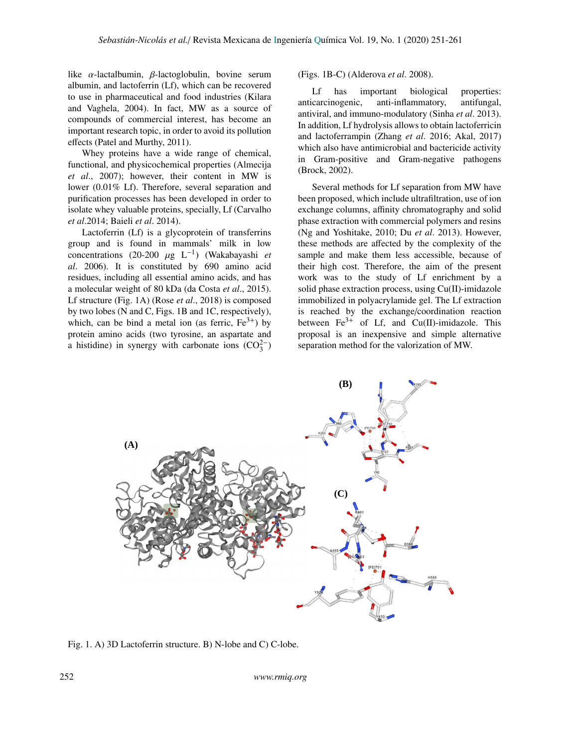like  $\alpha$ -lactalbumin,  $\beta$ -lactoglobulin, bovine serum albumin, and lactoferrin (Lf), which can be recovered to use in pharmaceutical and food industries (Kilara and Vaghela, 2004). In fact, MW as a source of compounds of commercial interest, has become an important research topic, in order to avoid its pollution effects (Patel and Murthy, 2011).

Whey proteins have a wide range of chemical, functional, and physicochemical properties (Almecija *et al*., 2007); however, their content in MW is lower (0.01% Lf). Therefore, several separation and purification processes has been developed in order to isolate whey valuable proteins, specially, Lf (Carvalho *et al*.2014; Baieli *et al*. 2014).

Lactoferrin (Lf) is a glycoprotein of transferrins group and is found in mammals' milk in low concentrations (20-200  $\mu$ g L<sup>-1</sup>) (Wakabayashi *et*<br>al. 2006) It is constituted by 690 amino acid *al*. 2006). It is constituted by 690 amino acid residues, including all essential amino acids, and has a molecular weight of 80 kDa (da Costa *et al*., 2015). Lf structure (Fig. 1A) (Rose *et al*., 2018) is composed by two lobes (N and C, Figs. 1B and 1C, respectively), which, can be bind a metal ion (as ferric,  $Fe^{3+}$ ) by protein amino acids (two tyrosine, an aspartate and a histidine) in synergy with carbonate ions  $(CO_3^{2-})$ 

(Figs. 1B-C) (Alderova *et al*. 2008).

Lf has important biological properties: anticarcinogenic, anti-inflammatory, antifungal, antiviral, and immuno-modulatory (Sinha *et al*. 2013). In addition, Lf hydrolysis allows to obtain lactoferricin and lactoferrampin (Zhang *et al*. 2016; Akal, 2017) which also have antimicrobial and bactericide activity in Gram-positive and Gram-negative pathogens (Brock, 2002).

Several methods for Lf separation from MW have been proposed, which include ultrafiltration, use of ion exchange columns, affinity chromatography and solid phase extraction with commercial polymers and resins (Ng and Yoshitake, 2010; Du *et al*. 2013). However, these methods are affected by the complexity of the sample and make them less accessible, because of their high cost. Therefore, the aim of the present work was to the study of Lf enrichment by a solid phase extraction process, using Cu(II)-imidazole immobilized in polyacrylamide gel. The Lf extraction is reached by the exchange/coordination reaction between  $Fe^{3+}$  of Lf, and Cu(II)-imidazole. This proposal is an inexpensive and simple alternative separation method for the valorization of MW.



Fig. 1. A) 3D Lactoferrin structure. B) N-lobe and C) C-lobe.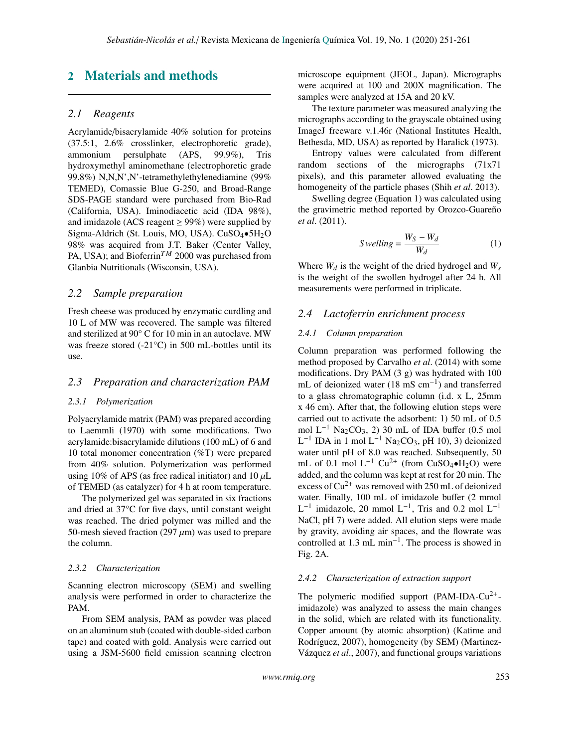## 2 Materials and methods

## *2.1 Reagents*

Acrylamide/bisacrylamide 40% solution for proteins (37.5:1, 2.6% crosslinker, electrophoretic grade), ammonium persulphate (APS, 99.9%), Tris hydroxymethyl aminomethane (electrophoretic grade 99.8%) N,N,N',N'-tetramethylethylenediamine (99% TEMED), Comassie Blue G-250, and Broad-Range SDS-PAGE standard were purchased from Bio-Rad (California, USA). Iminodiacetic acid (IDA 98%), and imidazole (ACS reagent  $\geq$  99%) were supplied by Sigma-Aldrich (St. Louis, MO, USA). CuSO4•5H2O 98% was acquired from J.T. Baker (Center Valley, PA, USA); and Bioferrin<sup>TM</sup> 2000 was purchased from Glanbia Nutritionals (Wisconsin, USA).

## *2.2 Sample preparation*

Fresh cheese was produced by enzymatic curdling and 10 L of MW was recovered. The sample was filtered and sterilized at 90° C for 10 min in an autoclave. MW was freeze stored (-21°C) in 500 mL-bottles until its use.

## *2.3 Preparation and characterization PAM*

### *2.3.1 Polymerization*

Polyacrylamide matrix (PAM) was prepared according to Laemmli (1970) with some modifications. Two acrylamide:bisacrylamide dilutions (100 mL) of 6 and 10 total monomer concentration (%T) were prepared from 40% solution. Polymerization was performed using 10% of APS (as free radical initiator) and 10  $\mu$ L of TEMED (as catalyzer) for 4 h at room temperature.

The polymerized gel was separated in six fractions and dried at 37°C for five days, until constant weight was reached. The dried polymer was milled and the 50-mesh sieved fraction (297  $\mu$ m) was used to prepare the column.

#### *2.3.2 Characterization*

Scanning electron microscopy (SEM) and swelling analysis were performed in order to characterize the PAM.

From SEM analysis, PAM as powder was placed on an aluminum stub (coated with double-sided carbon tape) and coated with gold. Analysis were carried out using a JSM-5600 field emission scanning electron microscope equipment (JEOL, Japan). Micrographs were acquired at 100 and 200X magnification. The samples were analyzed at 15A and 20 kV.

The texture parameter was measured analyzing the micrographs according to the grayscale obtained using ImageJ freeware v.1.46r (National Institutes Health, Bethesda, MD, USA) as reported by Haralick (1973).

Entropy values were calculated from different random sections of the micrographs (71x71 pixels), and this parameter allowed evaluating the homogeneity of the particle phases (Shih *et al*. 2013).

Swelling degree (Equation 1) was calculated using the gravimetric method reported by Orozco-Guareño *et al*. (2011).

$$
S\,welling = \frac{W_S - W_d}{W_d} \tag{1}
$$

Where  $W_d$  is the weight of the dried hydrogel and  $W_s$ is the weight of the swollen hydrogel after 24 h. All measurements were performed in triplicate.

## *2.4 Lactoferrin enrichment process*

## *2.4.1 Column preparation*

Column preparation was performed following the method proposed by Carvalho *et al*. (2014) with some modifications. Dry PAM (3 g) was hydrated with 100 mL of deionized water  $(18 \text{ mS cm}^{-1})$  and transferred to a glass chromatographic column (i.d. x L, 25mm x 46 cm). After that, the following elution steps were carried out to activate the adsorbent: 1) 50 mL of 0.5 mol  $L^{-1}$  Na<sub>2</sub>CO<sub>3</sub>, 2) 30 mL of IDA buffer (0.5 mol  $L^{-1}$  IDA in 1 mol  $L^{-1}$  Na<sub>2</sub>CO<sub>3</sub>, pH 10), 3) deionized water until pH of 8.0 was reached. Subsequently, 50 mL of 0.1 mol L<sup>-1</sup> Cu<sup>2+</sup> (from CuSO<sub>4</sub>•H<sub>2</sub>O) were added, and the column was kept at rest for 20 min. The excess of  $Cu^{2+}$  was removed with 250 mL of deionized water. Finally, 100 mL of imidazole buffer (2 mmol  $L^{-1}$  imidazole, 20 mmol  $L^{-1}$ , Tris and 0.2 mol  $L^{-1}$ NaCl, pH 7) were added. All elution steps were made by gravity, avoiding air spaces, and the flowrate was controlled at  $1.3 \text{ mL min}^{-1}$ . The process is showed in Fig. 2A.

## *2.4.2 Characterization of extraction support*

The polymeric modified support (PAM-IDA-Cu<sup>2+</sup>imidazole) was analyzed to assess the main changes in the solid, which are related with its functionality. Copper amount (by atomic absorption) (Katime and Rodríguez, 2007), homogeneity (by SEM) (Martinez-Vázquez *et al*., 2007), and functional groups variations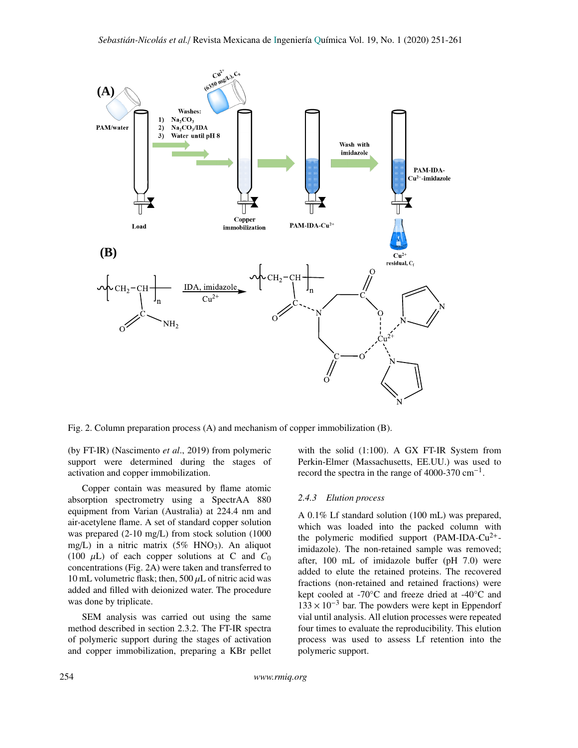

Fig. 2. Column preparation process (A) and mechanism of copper immobilization (B).

(by FT-IR) (Nascimento *et al*., 2019) from polymeric support were determined during the stages of activation and copper immobilization.

Copper contain was measured by flame atomic absorption spectrometry using a SpectrAA 880 equipment from Varian (Australia) at 224.4 nm and air-acetylene flame. A set of standard copper solution was prepared (2-10 mg/L) from stock solution (1000 mg/L) in a nitric matrix  $(5\%$  HNO<sub>3</sub>). An aliquot (100  $\mu$ L) of each copper solutions at C and  $C_0$ concentrations (Fig. 2A) were taken and transferred to 10 mL volumetric flask; then, 500  $\mu$ L of nitric acid was added and filled with deionized water. The procedure was done by triplicate.

SEM analysis was carried out using the same method described in section 2.3.2. The FT-IR spectra of polymeric support during the stages of activation and copper immobilization, preparing a KBr pellet with the solid (1:100). A GX FT-IR System from Perkin-Elmer (Massachusetts, EE.UU.) was used to record the spectra in the range of 4000-370  $\text{cm}^{-1}$ .

### *2.4.3 Elution process*

A 0.1% Lf standard solution (100 mL) was prepared, which was loaded into the packed column with the polymeric modified support (PAM-IDA-Cu<sup>2+</sup>imidazole). The non-retained sample was removed; after, 100 mL of imidazole buffer (pH 7.0) were added to elute the retained proteins. The recovered fractions (non-retained and retained fractions) were kept cooled at -70°C and freeze dried at -40°C and  $133 \times 10^{-3}$  bar. The powders were kept in Eppendorf vial until analysis. All elution processes were repeated four times to evaluate the reproducibility. This elution process was used to assess Lf retention into the polymeric support.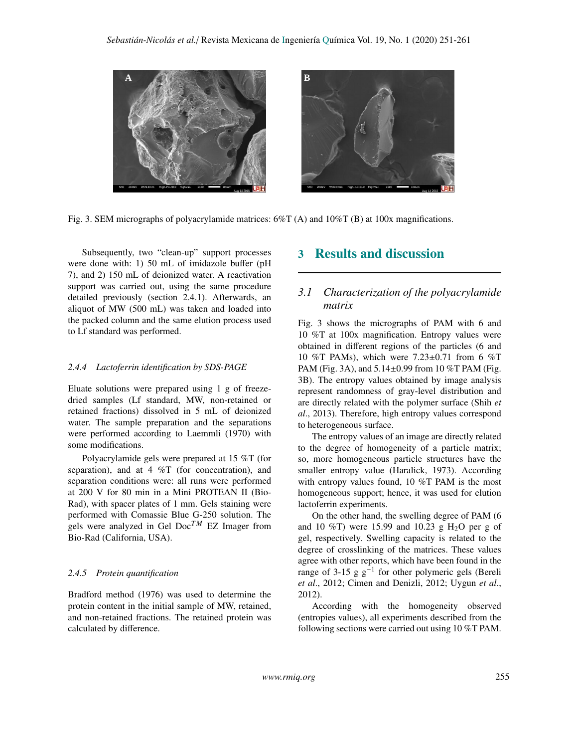

Fig. 3. SEM micrographs of polyacrylamide matrices: 6%T (A) and 10%T (B) at 100x magnifications.

Subsequently, two "clean-up" support processes were done with: 1) 50 mL of imidazole buffer (pH 7), and 2) 150 mL of deionized water. A reactivation support was carried out, using the same procedure detailed previously (section 2.4.1). Afterwards, an aliquot of MW (500 mL) was taken and loaded into the packed column and the same elution process used to Lf standard was performed.

## *2.4.4 Lactoferrin identification by SDS-PAGE*

Eluate solutions were prepared using 1 g of freezedried samples (Lf standard, MW, non-retained or retained fractions) dissolved in 5 mL of deionized water. The sample preparation and the separations were performed according to Laemmli (1970) with some modifications.

Polyacrylamide gels were prepared at 15 %T (for separation), and at 4 %T (for concentration), and separation conditions were: all runs were performed at 200 V for 80 min in a Mini PROTEAN II (Bio-Rad), with spacer plates of 1 mm. Gels staining were performed with Comassie Blue G-250 solution. The gels were analyzed in Gel  $Doc^{TM}$  EZ Imager from Bio-Rad (California, USA).

#### *2.4.5 Protein quantification*

Bradford method (1976) was used to determine the protein content in the initial sample of MW, retained, and non-retained fractions. The retained protein was calculated by difference.

## 3 Results and discussion

## *3.1 Characterization of the polyacrylamide matrix*

Fig. 3 shows the micrographs of PAM with 6 and 10 %T at 100x magnification. Entropy values were obtained in different regions of the particles (6 and 10 %T PAMs), which were 7.23±0.71 from 6 %T PAM (Fig. 3A), and 5.14±0.99 from 10 %T PAM (Fig. 3B). The entropy values obtained by image analysis represent randomness of gray-level distribution and are directly related with the polymer surface (Shih *et al*., 2013). Therefore, high entropy values correspond to heterogeneous surface.

The entropy values of an image are directly related to the degree of homogeneity of a particle matrix; so, more homogeneous particle structures have the smaller entropy value (Haralick, 1973). According with entropy values found, 10 %T PAM is the most homogeneous support; hence, it was used for elution lactoferrin experiments.

On the other hand, the swelling degree of PAM (6 and 10 %T) were 15.99 and 10.23 g  $H<sub>2</sub>O$  per g of gel, respectively. Swelling capacity is related to the degree of crosslinking of the matrices. These values agree with other reports, which have been found in the range of 3-15 g  $g^{-1}$  for other polymeric gels (Bereli *et al*., 2012; Cimen and Denizli, 2012; Uygun *et al*., 2012).

According with the homogeneity observed (entropies values), all experiments described from the following sections were carried out using 10 %T PAM.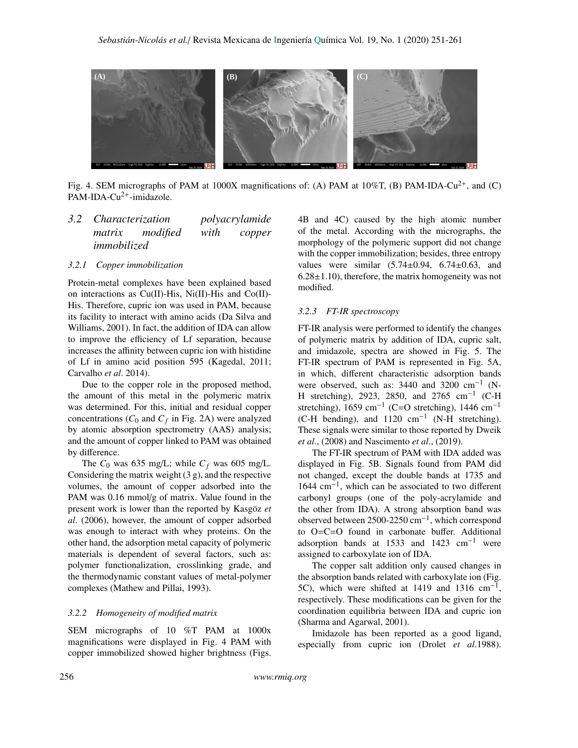

Fig. 4. SEM micrographs of PAM at 1000X magnifications of: (A) PAM at 10%T, (B) PAM-IDA-Cu<sup>2+</sup>, and (C) PAM-IDA-Cu<sup>2+</sup>-imidazole.

## *3.2 Characterization polyacrylamide matrix modified with copper immobilized*

## *3.2.1 Copper immobilization*

Protein-metal complexes have been explained based on interactions as  $Cu(II)$ -His, Ni $(II)$ -His and Co $(II)$ -His. Therefore, cupric ion was used in PAM, because its facility to interact with amino acids (Da Silva and Williams, 2001). In fact, the addition of IDA can allow to improve the efficiency of Lf separation, because increases the affinity between cupric ion with histidine of Lf in amino acid position 595 (Kagedal, 2011; Carvalho *et al*. 2014).

Due to the copper role in the proposed method, the amount of this metal in the polymeric matrix was determined. For this, initial and residual copper concentrations  $(C_0$  and  $C_f$  in Fig. 2A) were analyzed by atomic absorption spectrometry (AAS) analysis; and the amount of copper linked to PAM was obtained by difference.

The  $C_0$  was 635 mg/L; while  $C_f$  was 605 mg/L. Considering the matrix weight (3 g), and the respective volumes, the amount of copper adsorbed into the PAM was 0.16 mmol/g of matrix. Value found in the present work is lower than the reported by Kasgöz *et al*. (2006), however, the amount of copper adsorbed was enough to interact with whey proteins. On the other hand, the adsorption metal capacity of polymeric materials is dependent of several factors, such as: polymer functionalization, crosslinking grade, and the thermodynamic constant values of metal-polymer complexes (Mathew and Pillai, 1993).

### *3.2.2 Homogeneity of modified matrix*

SEM micrographs of 10 %T PAM at 1000x magnifications were displayed in Fig. 4 PAM with copper immobilized showed higher brightness (Figs.

4B and 4C) caused by the high atomic number of the metal. According with the micrographs, the morphology of the polymeric support did not change with the copper immobilization; besides, three entropy values were similar  $(5.74 \pm 0.94, 6.74 \pm 0.63,$  and  $6.28\pm1.10$ ), therefore, the matrix homogeneity was not modified.

## *3.2.3 FT-IR spectroscopy*

FT-IR analysis were performed to identify the changes of polymeric matrix by addition of IDA, cupric salt, and imidazole, spectra are showed in Fig. 5. The FT-IR spectrum of PAM is represented in Fig. 5A, in which, different characteristic adsorption bands were observed, such as:  $3440$  and  $3200$  cm<sup>-1</sup> (N-H stretching), 2923, 2850, and 2765 cm−<sup>1</sup> (C-H stretching), 1659 cm<sup>-1</sup> (C=O stretching), 1446 cm<sup>-1</sup> (C-H bending), and 1120 cm−<sup>1</sup> (N-H stretching). These signals were similar to those reported by Dweik *et al*., (2008) and Nascimento *et al*., (2019).

The FT-IR spectrum of PAM with IDA added was displayed in Fig. 5B. Signals found from PAM did not changed, except the double bands at 1735 and 1644 cm−<sup>1</sup> , which can be associated to two different carbonyl groups (one of the poly-acrylamide and the other from IDA). A strong absorption band was observed between 2500-2250 cm−<sup>1</sup> , which correspond to O=C=O found in carbonate buffer. Additional adsorption bands at 1533 and 1423  $cm^{-1}$  were assigned to carboxylate ion of IDA.

The copper salt addition only caused changes in the absorption bands related with carboxylate ion (Fig. 5C), which were shifted at 1419 and 1316  $cm^{-1}$ , respectively. These modifications can be given for the coordination equilibria between IDA and cupric ion (Sharma and Agarwal, 2001).

Imidazole has been reported as a good ligand, especially from cupric ion (Drolet *et al*.1988).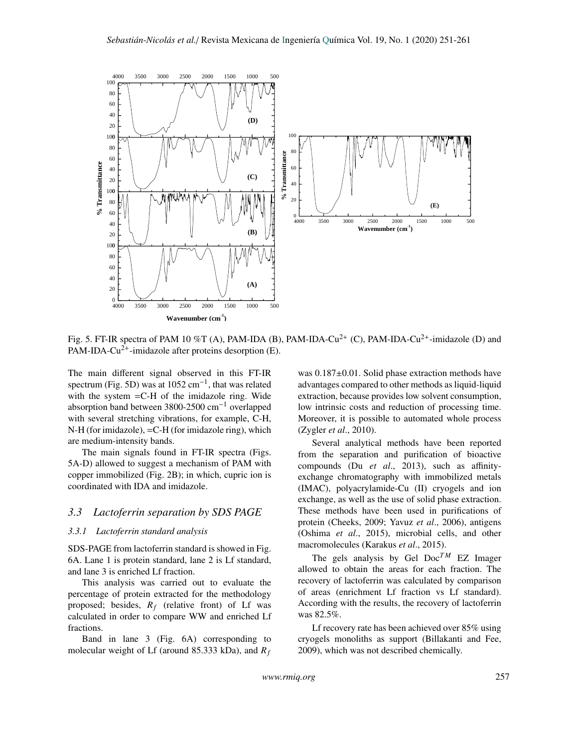

Fig. 5. FT-IR spectra of PAM 10 %T (A), PAM-IDA (B), PAM-IDA-Cu<sup>2+</sup> (C), PAM-IDA-Cu<sup>2+</sup>-imidazole (D) and PAM-IDA-Cu<sup>2+</sup>-imidazole after proteins desorption (E).

The main different signal observed in this FT-IR spectrum (Fig. 5D) was at  $1052 \text{ cm}^{-1}$ , that was related with the system  $=$  C-H of the imidazole ring. Wide absorption band between 3800-2500 cm−<sup>1</sup> overlapped with several stretching vibrations, for example, C-H, N-H (for imidazole), =C-H (for imidazole ring), which are medium-intensity bands.

The main signals found in FT-IR spectra (Figs. 5A-D) allowed to suggest a mechanism of PAM with copper immobilized (Fig. 2B); in which, cupric ion is coordinated with IDA and imidazole.

## *3.3 Lactoferrin separation by SDS PAGE*

## *3.3.1 Lactoferrin standard analysis*

SDS-PAGE from lactoferrin standard is showed in Fig. 6A. Lane 1 is protein standard, lane 2 is Lf standard, and lane 3 is enriched Lf fraction.

This analysis was carried out to evaluate the percentage of protein extracted for the methodology proposed; besides,  $R_f$  (relative front) of Lf was calculated in order to compare WW and enriched Lf fractions.

Band in lane 3 (Fig. 6A) corresponding to molecular weight of Lf (around 85.333 kDa), and *R<sup>f</sup>* was 0.187±0.01. Solid phase extraction methods have advantages compared to other methods as liquid-liquid extraction, because provides low solvent consumption, low intrinsic costs and reduction of processing time. Moreover, it is possible to automated whole process (Zygler *et al*., 2010).

Several analytical methods have been reported from the separation and purification of bioactive compounds (Du *et al*., 2013), such as affinityexchange chromatography with immobilized metals (IMAC), polyacrylamide-Cu (II) cryogels and ion exchange, as well as the use of solid phase extraction. These methods have been used in purifications of protein (Cheeks, 2009; Yavuz *et al*., 2006), antigens (Oshima *et al*., 2015), microbial cells, and other macromolecules (Karakus *et al*., 2015).

The gels analysis by Gel  $Doc^{TM}$  EZ Imager allowed to obtain the areas for each fraction. The recovery of lactoferrin was calculated by comparison of areas (enrichment Lf fraction vs Lf standard). According with the results, the recovery of lactoferrin was 82.5%.

Lf recovery rate has been achieved over 85% using cryogels monoliths as support (Billakanti and Fee, 2009), which was not described chemically.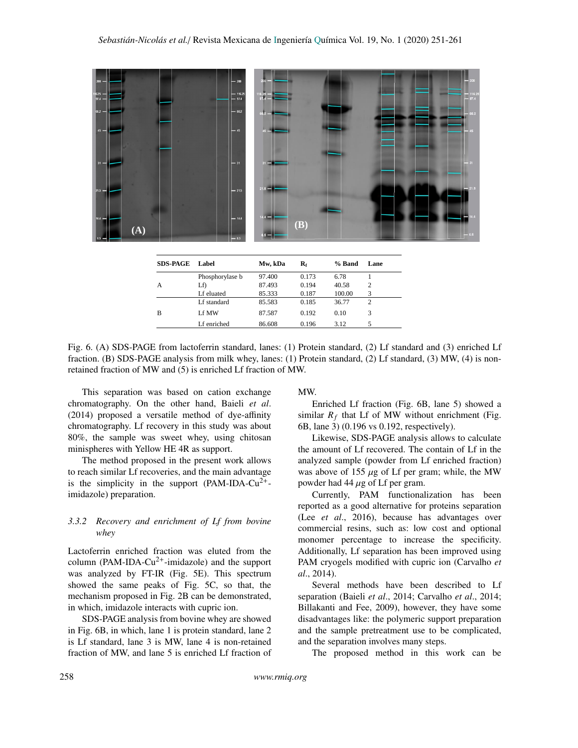

| <b>SDS-PAGE</b> | Label           | Mw, kDa | $\mathbf{R}_{\mathrm{f}}$ | % Band | Lane           |
|-----------------|-----------------|---------|---------------------------|--------|----------------|
| $\mathsf{A}$    | Phosphorylase b | 97.400  | 0.173                     | 6.78   |                |
|                 | Lf)             | 87.493  | 0.194                     | 40.58  | $\overline{c}$ |
|                 | Lf eluated      | 85.333  | 0.187                     | 100.00 | 3              |
| B               | Lf standard     | 85.583  | 0.185                     | 36.77  | $\overline{c}$ |
|                 | Lf MW           | 87.587  | 0.192                     | 0.10   | 3              |
|                 | Lf enriched     | 86.608  | 0.196                     | 3.12   | 5              |

Fig. 6. (A) SDS-PAGE from lactoferrin standard, lanes: (1) Protein standard, (2) Lf standard and (3) enriched Lf fraction. (B) SDS-PAGE analysis from milk whey, lanes: (1) Protein standard, (2) Lf standard, (3) MW, (4) is nonretained fraction of MW and (5) is enriched Lf fraction of MW.

This separation was based on cation exchange chromatography. On the other hand, Baieli *et al*. (2014) proposed a versatile method of dye-affinity chromatography. Lf recovery in this study was about 80%, the sample was sweet whey, using chitosan minispheres with Yellow HE 4R as support.

The method proposed in the present work allows to reach similar Lf recoveries, and the main advantage is the simplicity in the support (PAM-IDA-Cu<sup>2+</sup>imidazole) preparation.

## <span id="page-7-0"></span>*3.3.2 Recovery and enrichment of Lf from bovine whey*

Lactoferrin enriched fraction was eluted from the column (PAM-IDA-Cu<sup>2+</sup>-imidazole) and the support was analyzed by FT-IR (Fig. 5E). This spectrum showed the same peaks of Fig. 5C, so that, the mechanism proposed in Fig. 2B can be demonstrated, in which, imidazole interacts with cupric ion.

SDS-PAGE analysis from bovine whey are showed in Fig. 6B, in which, lane 1 is protein standard, lane 2 is Lf standard, lane 3 is MW, lane 4 is non-retained fraction of MW, and lane 5 is enriched Lf fraction of

### MW.

Enriched Lf fraction (Fig. 6B, lane 5) showed a similar  $R_f$  that Lf of MW without enrichment (Fig. 6B, lane 3) (0.196 vs 0.192, respectively).

Likewise, SDS-PAGE analysis allows to calculate the amount of Lf recovered. The contain of Lf in the analyzed sample (powder from Lf enriched fraction) was above of 155  $\mu$ g of Lf per gram; while, the MW powder had 44  $\mu$ g of Lf per gram.

Currently, PAM functionalization has been reported as a good alternative for proteins separation (Lee *et al*., 2016), because has advantages over commercial resins, such as: low cost and optional monomer percentage to increase the specificity. Additionally, Lf separation has been improved using PAM cryogels modified with cupric ion (Carvalho *et al*., 2014).

Several methods have been described to Lf separation (Baieli *et al*., 2014; Carvalho *et al*., 2014; Billakanti and Fee, 2009), however, they have some disadvantages like: the polymeric support preparation and the sample pretreatment use to be complicated, and the separation involves many steps.

The proposed method in this work can be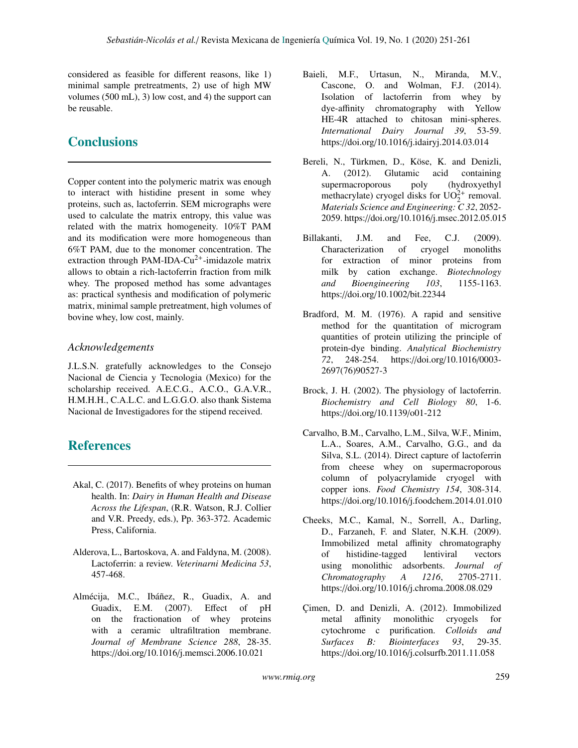considered as feasible for different reasons, like 1) minimal sample pretreatments, 2) use of high MW volumes (500 mL), 3) low cost, and 4) the support can be reusable.

# **Conclusions**

Copper content into the polymeric matrix was enough to interact with histidine present in some whey proteins, such as, lactoferrin. SEM micrographs were used to calculate the matrix entropy, this value was related with the matrix homogeneity. 10%T PAM and its modification were more homogeneous than 6%T PAM, due to the monomer concentration. The extraction through PAM-IDA-Cu<sup>2+</sup>-imidazole matrix allows to obtain a rich-lactoferrin fraction from milk whey. The proposed method has some advantages as: practical synthesis and modification of polymeric matrix, minimal sample pretreatment, high volumes of bovine whey, low cost, mainly.

## *Acknowledgements*

J.L.S.N. gratefully acknowledges to the Consejo Nacional de Ciencia y Tecnologia (Mexico) for the scholarship received. A.E.C.G., A.C.O., G.A.V.R., H.M.H.H., C.A.L.C. and L.G.G.O. also thank Sistema Nacional de Investigadores for the stipend received.

# **References**

- Akal, C. (2017). Benefits of whey proteins on human health. In: *Dairy in Human Health and Disease Across the Lifespan*, (R.R. Watson, R.J. Collier and V.R. Preedy, eds.), Pp. 363-372. Academic Press, California.
- Alderova, L., Bartoskova, A. and Faldyna, M. (2008). Lactoferrin: a review. *Veterinarni Medicina 53*, 457-468.
- Almécija, M.C., Ibáñez, R., Guadix, A. and Guadix, E.M. (2007). Effect of pH on the fractionation of whey proteins with a ceramic ultrafiltration membrane. *Journal of Membrane Science 288*, 28-35. https://doi.org/10.1016/j.memsci.2006.10.021
- Baieli, M.F., Urtasun, N., Miranda, M.V., Cascone, O. and Wolman, F.J. (2014). Isolation of lactoferrin from whey by dye-affinity chromatography with Yellow HE-4R attached to chitosan mini-spheres. *International Dairy Journal 39*, 53-59. https://doi.org/10.1016/j.idairyj.2014.03.014
- Bereli, N., Türkmen, D., Köse, K. and Denizli, A. (2012). Glutamic acid containing supermacroporous poly (hydroxyethyl methacrylate) cryogel disks for  $UO_2^{2+}$  removal. *Materials Science and Engineering: C 32*, 2052- 2059. https://doi.org/10.1016/j.msec.2012.05.015
- Billakanti, J.M. and Fee, C.J. (2009). Characterization of cryogel monoliths for extraction of minor proteins from milk by cation exchange. *Biotechnology and Bioengineering 103*, 1155-1163. https://doi.org/10.1002/bit.22344
- Bradford, M. M. (1976). A rapid and sensitive method for the quantitation of microgram quantities of protein utilizing the principle of protein-dye binding. *Analytical Biochemistry 72*, 248-254. https://doi.org/10.1016/0003- 2697(76)90527-3
- Brock, J. H. (2002). The physiology of lactoferrin. *Biochemistry and Cell Biology 80*, 1-6. https://doi.org/10.1139/o01-212
- Carvalho, B.M., Carvalho, L.M., Silva, W.F., Minim, L.A., Soares, A.M., Carvalho, G.G., and da Silva, S.L. (2014). Direct capture of lactoferrin from cheese whey on supermacroporous column of polyacrylamide cryogel with copper ions. *Food Chemistry 154*, 308-314. https://doi.org/10.1016/j.foodchem.2014.01.010
- Cheeks, M.C., Kamal, N., Sorrell, A., Darling, D., Farzaneh, F. and Slater, N.K.H. (2009). Immobilized metal affinity chromatography of histidine-tagged lentiviral vectors using monolithic adsorbents. *Journal of Chromatography A 1216*, 2705-2711. https://doi.org/10.1016/j.chroma.2008.08.029
- Çimen, D. and Denizli, A. (2012). Immobilized metal affinity monolithic cryogels for cytochrome c purification. *Colloids and Surfaces B: Biointerfaces 93*, 29-35. https://doi.org/10.1016/j.colsurfb.2011.11.058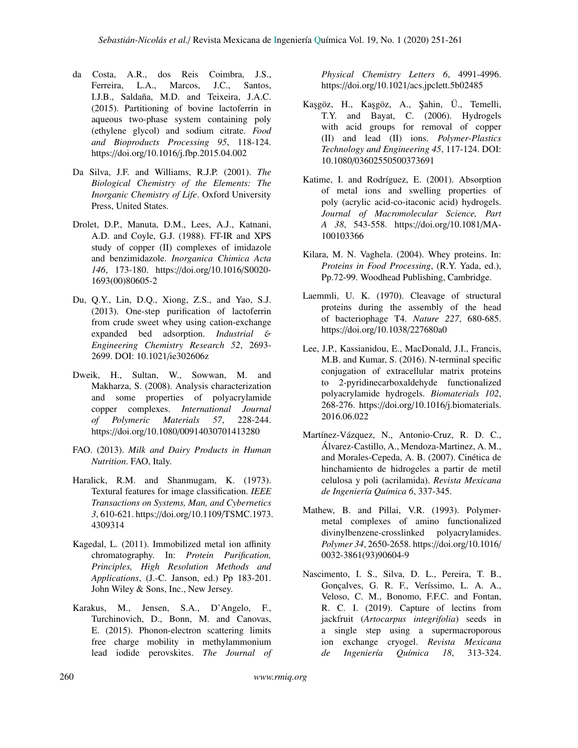- da Costa, A.R., dos Reis Coimbra, J.S., Ferreira, L.A., Marcos, J.C., Santos, I.J.B., Saldaña, M.D. and Teixeira, J.A.C. (2015). Partitioning of bovine lactoferrin in aqueous two-phase system containing poly (ethylene glycol) and sodium citrate. *Food and Bioproducts Processing 95*, 118-124. https://doi.org/10.1016/j.fbp.2015.04.002
- Da Silva, J.F. and Williams, R.J.P. (2001). *The Biological Chemistry of the Elements: The Inorganic Chemistry of Life*. Oxford University Press, United States.
- Drolet, D.P., Manuta, D.M., Lees, A.J., Katnani, A.D. and Coyle, G.J. (1988). FT-IR and XPS study of copper (II) complexes of imidazole and benzimidazole. *Inorganica Chimica Acta 146*, 173-180. https://doi.org/10.1016/S0020- 1693(00)80605-2
- Du, Q.Y., Lin, D.Q., Xiong, Z.S., and Yao, S.J. (2013). One-step purification of lactoferrin from crude sweet whey using cation-exchange expanded bed adsorption. *Industrial* & *Engineering Chemistry Research 52*, 2693- 2699. DOI: 10.1021/ie302606z
- Dweik, H., Sultan, W., Sowwan, M. and Makharza, S. (2008). Analysis characterization and some properties of polyacrylamide copper complexes. *International Journal of Polymeric Materials 57*, 228-244. https://doi.org/10.1080/00914030701413280
- FAO. (2013). *Milk and Dairy Products in Human Nutrition*. FAO, Italy.
- Haralick, R.M. and Shanmugam, K. (1973). Textural features for image classification. *IEEE Transactions on Systems, Man, and Cybernetics 3*, 610-621. https://doi.org/10.1109/TSMC.1973. 4309314
- Kagedal, L. (2011). Immobilized metal ion affinity chromatography. In: *Protein Purification, Principles, High Resolution Methods and Applications*, (J.-C. Janson, ed.) Pp 183-201. John Wiley & Sons, Inc., New Jersey.
- Karakus, M., Jensen, S.A., D'Angelo, F., Turchinovich, D., Bonn, M. and Canovas, E. (2015). Phonon-electron scattering limits free charge mobility in methylammonium lead iodide perovskites. *The Journal of*

*Physical Chemistry Letters 6*, 4991-4996. https://doi.org/10.1021/acs.jpclett.5b02485

- Ka¸sgöz, H., Ka¸sgöz, A., ¸Sahin, Ü., Temelli, T.Y. and Bayat, C. (2006). Hydrogels with acid groups for removal of copper (II) and lead (II) ions. *Polymer-Plastics Technology and Engineering 45*, 117-124. DOI: 10.1080/03602550500373691
- Katime, I. and Rodríguez, E. (2001). Absorption of metal ions and swelling properties of poly (acrylic acid-co-itaconic acid) hydrogels. *Journal of Macromolecular Science, Part A 38*, 543-558. https://doi.org/10.1081/MA-100103366
- Kilara, M. N. Vaghela. (2004). Whey proteins. In: *Proteins in Food Processing*, (R.Y. Yada, ed.), Pp.72-99. Woodhead Publishing, Cambridge.
- Laemmli, U. K. (1970). Cleavage of structural proteins during the assembly of the head of bacteriophage T4. *Nature 227*, 680-685. https://doi.org/10.1038/227680a0
- Lee, J.P., Kassianidou, E., MacDonald, J.I., Francis, M.B. and Kumar, S. (2016). N-terminal specific conjugation of extracellular matrix proteins to 2-pyridinecarboxaldehyde functionalized polyacrylamide hydrogels. *Biomaterials 102*, 268-276. https://doi.org/10.1016/j.biomaterials. 2016.06.022
- Martínez-Vázquez, N., Antonio-Cruz, R. D. C., Álvarez-Castillo, A., Mendoza-Martinez, A. M., and Morales-Cepeda, A. B. (2007). Cinética de hinchamiento de hidrogeles a partir de metil celulosa y poli (acrilamida). *Revista Mexicana de Ingeniería Química 6*, 337-345.
- Mathew, B. and Pillai, V.R. (1993). Polymermetal complexes of amino functionalized divinylbenzene-crosslinked polyacrylamides. *Polymer 34*, 2650-2658. https://doi.org/10.1016/ 0032-3861(93)90604-9
- Nascimento, I. S., Silva, D. L., Pereira, T. B., Gonçalves, G. R. F., Veríssimo, L. A. A., Veloso, C. M., Bonomo, F.F.C. and Fontan, R. C. I. (2019). Capture of lectins from jackfruit (*Artocarpus integrifolia*) seeds in a single step using a supermacroporous ion exchange cryogel. *Revista Mexicana de Ingeniería Química 18*, 313-324.